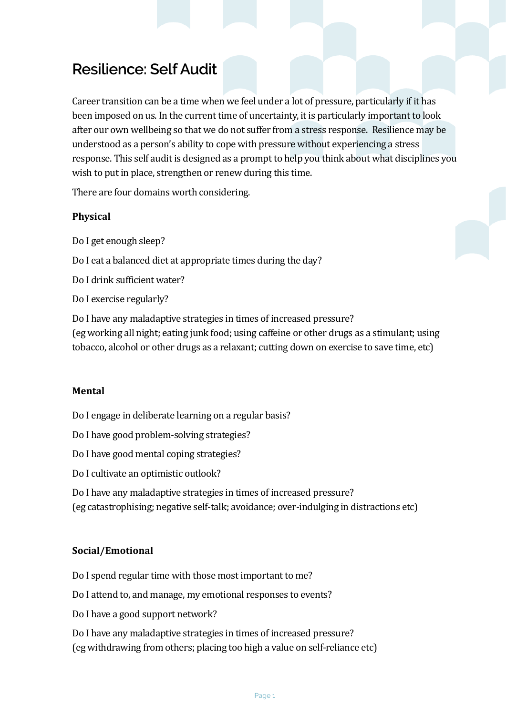# **Resilience: Self Audit**

Career transition can be a time when we feel under a lot of pressure, particularly if it has been imposed on us. In the current time of uncertainty, it is particularly important to look after our own wellbeing so that we do not suffer from a stress response. Resilience may be understood as a person's ability to cope with pressure without experiencing a stress response. This self audit is designed as a prompt to help you think about what disciplines you wish to put in place, strengthen or renew during this time.

There are four domains worth considering.

## **Physical**

Do I get enough sleep?

Do I eat a balanced diet at appropriate times during the day?

Do I drink sufficient water?

Do I exercise regularly?

Do I have any maladaptive strategies in times of increased pressure? (eg working all night; eating junk food; using caffeine or other drugs as a stimulant; using tobacco, alcohol or other drugs as a relaxant; cutting down on exercise to save time, etc)

#### **Mental**

Do I engage in deliberate learning on a regular basis?

Do I have good problem-solving strategies?

Do I have good mental coping strategies?

Do I cultivate an optimistic outlook?

Do I have any maladaptive strategies in times of increased pressure?

(eg catastrophising; negative self-talk; avoidance; over-indulging in distractions etc)

#### **Social/Emotional**

Do I spend regular time with those most important to me?

Do I attend to, and manage, my emotional responses to events?

Do I have a good support network?

Do I have any maladaptive strategies in times of increased pressure? (eg withdrawing from others; placing too high a value on self-reliance etc)